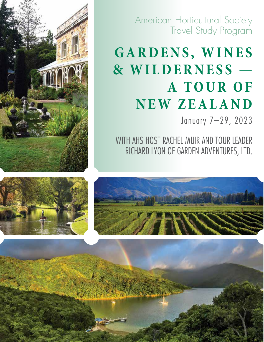

# GARDENS, WINES **& WILDERNESS — A T O U R O F N E W Z E A L A N D**

January 7–29, 2023

WITH AHS HOST RACHEL MUIR AND TOUR LEADER RICHARD LYON OF GARDEN ADVENTURES, LTD.



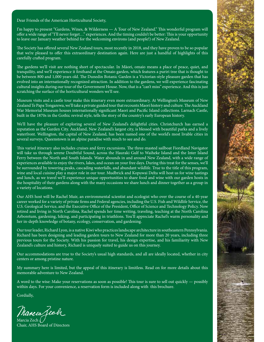Dear Friends of the American Horticultural Society,

I'm happy to present "Gardens, Wines, & Wilderness — A Tour of New Zealand." This wonderful program will offer a wide range of "I'll never forget…" experiences. And the timing couldn't be better: This is your opportunity to leave our January weather behind for the welcoming environs (and people!) of New Zealand.

The Society has offered several New Zealand tours, most recently in 2018, and they have proven to be so popular that we're pleased to offer this extraordinary destination again. Here are just a handful of highlights of this carefully crafted program.

The gardens we'll visit are nothing short of spectacular. In Māori, omaio means a place of peace, quiet, and tranquility, and we'll experience it firsthand at the Omaio garden, which features a puriri tree that is thought to be between 800 and 1,000 years old. The Dunedin Botanic Garden is a Victorian-style pleasure garden that has evolved into an internationally recognized attraction. In addition to the gardens, we will experience fascinating cultural insights during our tour of the Government House. Now, that is a "can't miss" experience. And this is just scratching the surface of the horticultural wonders we'll see.

Museum visits and a castle tour make this itinerary even more extraordinary. At Wellington's Museum of New Zealand Te Papa Tongarewa, we'll take a private guided tour that recounts Maori history and culture. The Auckland War Memorial Museum houses internationally significant Maori and Pacific Island collections. Larnach Castle, built in the 1870s in the Gothic revival style, tells the story of the country's early European history.

We'll have the pleasure of exploring several of New Zealand's delightful cities. Christchurch has earned a reputation as the Garden City. Auckland, New Zealand's largest city, is blessed with beautiful parks and a lively waterfront. Wellington, the capital of New Zealand, has been named one of the world's most livable cities in several surveys. Queenstown is an alpine paradise with much to see and do.

This varied itinerary also includes cruises and ferry excursions. The three-masted sailboat Fiordland Navigator will take us through serene Doubtful Sound, across the Hauraki Gulf to Waiheke Island and the Inter Island Ferry between the North and South Islands. Water abounds in and around New Zealand, with a wide range of experiences available to enjoy the rivers, lakes, and ocean on your free days. During this treat for the senses, we'll be surrounded by towering peaks, cascading waterfalls, and abundant wildlife. True to the title of this program, wine and local cuisine play a major role in our tour. Mudbrick and Kopuwai Delta will host us for wine tastings and lunch, as we travel we'll experience unique opportunities to share food and wine with our garden hosts in the hospitality of their gardens along with the many occasions we share lunch and dinner together as a group in a variety of locations.

Our AHS host will be Rachel Muir, an environmental scientist and ecologist who over the course of a 40-year career worked for a variety of private firms and Federal agencies, including the U.S. Fish and Wildlife Service, the U.S. Geological Service, and the Executive Office of the President, Office of Science and Technology Policy. Now retired and living in North Carolina, Rachel spends her time writing, traveling, teaching at the North Carolina Arboretum, gardening, hiking, and participating in triathlons. You'll appreciate Rachel's warm personality and her in-depth knowledge of botany, ecology, conservation, and gardening.

Our tour leader, Richard Lyon, is a native Kiwi who practices landscape architecture in southeastern Pennsylvania. Richard has been designing and leading garden tours to New Zealand for more than 20 years, including three previous tours for the Society. With his passion for travel, his design expertise, and his familiarity with New Zealand's culture and history, Richard is uniquely suited to guide us on this journey.

Our accommodations are true to the Society's usual high standards, and all are ideally located, whether in city centers or among pristine nature.

My summary here is limited, but the appeal of this itinerary is limitless. Read on for more details about this memorable adventure to New Zealand.

A word to the wise: Make your reservations as soon as possible! This tour is sure to sell out quickly — possibly within days. For your convenience, a reservation form is included along with this brochure.

Cordially,

Marcia Jech

Marcia Zech Chair, AHS Board of Directors

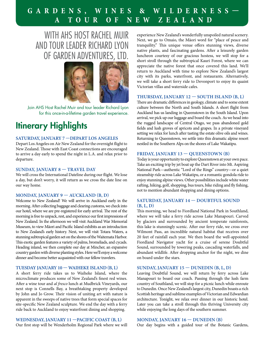### **GARDENS, WINES & WILDERNESS— A TOUR OF NEW ZEALAND**

### WITH AHS HOST RACHEL MUIR AND TOUR LEADER RICHARD LYON OF GARDEN ADVENTURES, LTD.



Join AHS Host Rachel Muir and tour leader Richard Lyon for this once-in-a-lifetime garden travel experience.

### Itinerary Highlights

#### **SATURDAY, JANUARY 7 —DEPART LOS ANGELES**

Depart Los Angeles on Air New Zealand for the overnight flight to New Zealand. Those with East Coast connections are encouraged to arrive a day early to spend the night in L.A. and relax prior to departure.

#### **SUNDAY, JANUARY 8 — TRAVEL DAY**

We will cross the International Dateline during our flight. We lose a day, but don't worry, it will return as we cross the date line on our way home.

#### **MONDAY, JANUARY 9 — AUCKLAND (B, D)**

Welcome to New Zealand! We will arrive in Auckland early in the morning. After collecting baggage and clearing customs, we check into our hotel, where we are pre-registered for early arrival. The rest of the morning is free to unpack, rest, and experience our first impressions of New Zealand. In the afternoon we will visit Auckland War Memorial Museum, to view Māori and Pacific Island exhibits as an introduction to New Zealand's early history. Next, we will visit Totara Waters, a stunning subtropical garden set on the shores of the Waitemata Harbor. This exotic garden features a variety of palms, bromeliads, and cycads. Heading inland, we then complete our day at Mincher, an expansive country garden with diverse planting styles. Here we'll enjoy a welcome dinner and become better acquainted with our fellow travelers.

#### **TUESDAY JANUARY 10 — WAIHEKE ISLAND (B, L)**

A short ferry ride takes us to Waiheke Island, where the microclimate produces some of New Zealand's finest red wines. After a wine tour and *al fresco* lunch at Mudbrick Vineyards, our next stop is Connells Bay, a breathtaking property developed by John and Jo Grow. Their vision of uniting art with nature is apparent in the sweeps of native trees that form special spaces for site-specific New Zealand sculpture. We end the day with a ferry ride back to Auckland to enjoy waterfront dining and shopping.

**WEDNESDAY, JANUARY 11 —PACIFIC COAST (B, L)**

Our first stop will be Wenderholm Regional Park where we will

experience New Zealand's wonderfully unspoiled natural scenery. Next, we go to Omaio, the Māori word for "place of peace and tranquility." This unique venue offers stunning views, diverse native plants, and fascinating gardens. After a leisurely garden luncheon courtesy of our gracious hostess, we will stop for a short stroll through the subtropical Kauri Forest, where we can appreciate the native forest that once covered this land. We'll return to Auckland with time to explore New Zealand's largest city with its parks, waterfront, and restaurants. Alternatively, we will take a short ferry ride to Devonport to enjoy its quaint Victorian villas and waterside cafes.

#### **THURSDAY, JANUARY 12 — SOUTH ISLAND (B, L)**

There are dramatic differences in geology, climate and to some extent culture between the North and South Islands. A short flight from Auckland has us landing in Queenstown in the South Island. Upon arrival, we pick up our luggage and board the coach. As we head into the rugged landscape of Central Otago, we pass abandoned gold fields and lush groves of apricots and grapes. In a private vineyard setting we relax for lunch after tasting the estate olive oils and wines. Returning to Queenstown, we settle into this dramatic alpine resort nestled in the Southern Alps on the shores of Lake Wakatipu.

#### **FRIDAY, JANUARY 13 — QUEENSTOWN (B)**

Today is your opportunity to explore Queenstown at your own pace. Take an exciting trip by jet boat up the Dart River into Mt. Aspiring National Park—authentic "Lord of the Rings" country—or a quiet steamship ride across Lake Wakatipu, or a romantic gondola ride to enjoy stunning alpine views. Other possibilities include white water rafting, hiking, golf, shopping, bus tours, bike riding and fly fishing, not to mention abundant shopping and dining options.

#### **SATURDAY, JANUARY 14 — DOUBTFUL SOUND (B, L, D)**

This morning, we head to Fiordland National Park in Southland, where we will take a ferry ride across Lake Manapouri. Carved by glaciers and surrounded by ancient temperate rainforests, this lake is stunningly scenic. After our ferry ride, we cross over Wilmont Pass, an incredible natural habitat that receives over 20 feet of rainfall each year. We then board the well-appointed Fiordland Navigator yacht for a cruise of serene Doubtful Sound, surrounded by towering peaks, cascading waterfalls, and abundant wildlife. After dropping anchor for the night, we dine on board under the stars.

#### **SUNDAY, JANUARY 15 — DUNEDIN (B, L, D)**

Leaving Doubtful Sound, we will return by ferry across Lake Manapouri to board our coach. Passing through the lush farm country of Southland, we will stop for a picnic lunch while enroute to Dunedin. Once New Zealand's largest city, Dunedin boasts a rich Scottish heritage and sublime examples of Victorian and Edwardian architecture. Tonight, we relax over dinner in our historic hotel. Later you can take a stroll through this thriving University city while enjoying the long days of the southern summer.

#### **MONDAY, JANUARY 16 — DUNEDIN (B)**

Our day begins with a guided tour of the Botanic Gardens,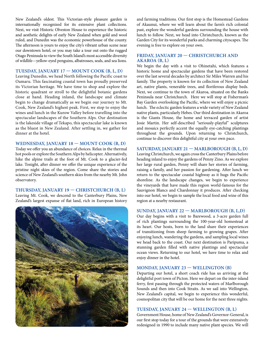New Zealand's oldest. This Victorian-style pleasure garden is internationally recognized for its extensive plant collections. Next, we visit Historic Olveston House to experience the historic and aesthetic delights of early New Zealand when gold and wool ruled, and Dunedin was the economic powerhouse of the county. The afternoon is yours to enjoy the city's vibrant urban scene near our downtown hotel, or you may take a tour out onto the rugged Otago Peninsula to view the South Island's most accessible diversity of wildlife—yellow-eyed penguins, albatrosses, seals, and sea lions.

#### **TUESDAY, JANUARY 17 — MOUNT COOK (B, L, D)**

Leaving Dunedin, we head North following the Pacific coast to Oamaru. This fascinating coastal town has proudly preserved its Victorian heritage. We have time to shop and explore the historic quadrant or stroll to the delightful botanic gardens close at hand. Heading inland, the landscape and climate begin to change dramatically as we begin our journey to Mt. Cook, New Zealand's highest peak. First, we stop to enjoy the wines and lunch in the Kurow Valley before travelling into the spectacular landscapes of the Southern Alps. Our destination is the lakeside village of Tekapo, this spectacular lake is known as the bluest in New Zealand. After settling in, we gather for dinner at the hotel.

#### **WEDNESDAY, JANUARY 18 — MOUNT COOK (B, D)**

Today we offer you an abundance of choices. Relax in the thermal hot pools or explore the Southern Alps by helicopter. Alternatively, hike the alpine trails at the foot of Mt. Cook to a glacier-fed lake. Tonight, after dinner we offer the unique experience of the pristine night skies of the region. Come share the stories and science of New Zealand's southern skies from the nearby Mt. John observatory.

#### **THURSDAY, JANUARY 19 — CHRISTCHURCH (B, L)**

Leaving Mt. Cook, we descend to the Canterbury Plains, New Zealand's largest expanse of flat land, rich in European history



and farming traditions. Our first stop is the Homestead Gardens of Akaunui, where we will learn about the farm's rich colonial past, explore the wonderful gardens surrounding the house with lunch to follow. Next, we head into Christchurch, known as the Garden City for its wonderful parks and charming cityscapes. The evening is free to explore on your own.

#### **FRIDAY, JANUARY 20 — CHRISTCHURCH AND AKAROA (B, L)**

We begin the day with a visit to Ohinetahi, which features a historic home and spectacular gardens that have been restored over the last several decades by architect Sir Miles Warren and his family. The property is known for its collection of New Zealand art, native plants, venerable trees, and floriferous display beds. Next, we continue to the town of Akaroa, situated on the Banks Peninsula near Christchurch. Here we will stop at Fisherman's Bay Garden overlooking the Pacific, where we will enjoy a picnic lunch. The eclectic garden features a wide variety of New Zealand native plants, particularly Hebes. Our third destination in Akaroa is the Giants House, the home and terraced garden of artist Josie Martin. Her self-described "seriously-playful" sculptures and mosaics perfectly accent the equally eye-catching plantings throughout the grounds. Upon returning to Christchurch, continue to discover this delightful city at your own pace.

#### **SATURDAY, JANUARY 21 — MARLBOROUGH (B, L, D)**

Leaving Christchurch, we again cross the Canterbury Plains before heading inland to enjoy the gardens of Penny Zino. As we explore her large rural garden, Penny will share her stories of farming, raising a family, and her passion for gardening. After lunch we return to the spectacular coastal highway as it hugs the Pacific shoreline. As the landscape changes, we begin to experience the vineyards that have made this region world-famous for the Sauvignon Blancs and Chardonnay it produces. After checking into our hotel, we begin to sample the local food and wine of this region at a nearby restaurant.

#### **SUNDAY, JANUARY 22 — MARLBOROUGH (B, L,D)**

Our day begins with a visit to Barewood, a 3-acre garden full of rich plantings surrounding the 100-year-old homestead at its heart. Our hosts, born to the land share their experiences of transitioning from sheep farming to growing grapes. After enjoying lunch, wandering the gardens, and sampling local wines we head back to the coast. Our next destination is Paripuma, a stunning garden filled with native plantings and spectacular ocean views. Returning to our hotel, we have time to relax and enjoy dinner in the hotel.

#### **MONDAY, JANUARY 23 — WELLINGTON (B)**

Departing our hotel, a short coach ride has us arriving at the delightful port town of Picton. Here we depart on the inter-island ferry, first passing through the protected waters of Marlborough Sounds and then into Cook Straits. As we sail into Wellington, New Zealand's capital, we begin to experience this wonderful, cosmopolitan city that will be our home for the next three nights.

#### **TUESDAY, JANUARY 24 — WELLINGTON (B, L)**

Government House, home of New Zealand's Governor-General, is our first stop today for a tour of the grounds that were extensively redesigned in 1990 to include many native plant species. We will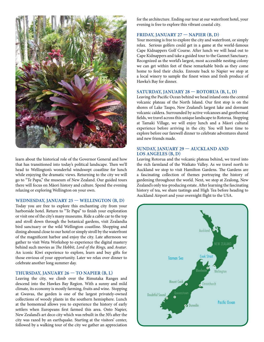

learn about the historical role of the Governor General and how that has transitioned into today's political landscape. Then we'll head to Wellington's wonderful windswept coastline for lunch while enjoying the dramatic views. Returning to the city we will go to "Te Papa," the museum of New Zealand. Our guided tours there will focus on Māori history and culture. Spend the evening relaxing or exploring Wellington on your own.

#### **WEDNESDAY, JANUARY 25 — WELLINGTON (B, D)**

Today you are free to explore this enchanting city from your harborside hotel. Return to "Te Papa" to finish your exploration or visit one of the city's many museums. Ride a cable car to the top and stroll down through the botanical gardens, visit Zealandia bird sanctuary or the wild Wellington coastline. Shopping and dining abound close to our hotel or simply stroll by the waterfront of the magnificent harbor and enjoy the city. Late afternoon we gather to visit Weta Workshop to experience the digital mastery behind such movies as *The Hobbit, Lord of the Rings,* and *Avatar*. An iconic Kiwi experience to explore, learn and buy gifts for those envious of your opportunity. Later we relax over dinner to celebrate another long summer day.

#### **THURSDAY, JANUARY 26 — TO NAPIER (B, L)**

Leaving the city, we climb over the Rimutaka Ranges and descend into the Hawkes Bay Region. With a sunny and mild climate, its economy is mostly farming, fruits and wine. Stopping at Gwavas, the garden is one of the largest privately-owned collections of woody plants in the southern hemisphere. Lunch at the homestead allows you to experience the history of early settlers when Europeans first farmed this area. Onto Napier, New Zealand's art deco city which was rebuilt in the 30's after the city was razed by an earthquake. Starting at the visitors' center, followed by a walking tour of the city we gather an appreciation

for the architecture. Ending our tour at our waterfront hotel, your evening is free to explore this vibrant coastal city.

#### **FRIDAY, JANUARY 27 — NAPIER (B, D)**

Your morning is free to explore the city and waterfront, or simply relax. Serious golfers could get in a game at the world-famous Cape Kidnappers Golf Course. After lunch we will head out to Cape Kidnappers and take a guided tour to the Gannet Sanctuary. Recognized as the world's largest, most accessible nesting colony we can get within feet of these remarkable birds as they come home to feed their chicks. Enroute back to Napier we stop at a local winery to sample the finest wines and fresh produce of Hawke's Bay for dinner.

#### **SATURDAY, JANUARY 28 — ROTORUA (B, L, D)**

Leaving the Pacific Ocean behind we head inland onto the central volcanic plateau of the North Island. Our first stop is on the shores of Lake Taupo, New Zealand's largest lake and dormant volcanic caldera. Surrounded by active volcanoes and geothermal fields, we travel across this unique landscape to Rotorua. Stopping at Tamaki Village, we will enjoy lunch and a Māori cultural experience before arriving in the city. You will have time to explore before our farewell dinner to celebrate adventures shared and new friends made.

#### **SUNDAY, JANUARY 29 — AUCKLAND AND LOS ANGELES (B, D)**

Leaving Rotorua and the volcanic plateau behind, we travel into the rich farmland of the Waikato Valley. As we travel north to Auckland we stop to visit Hamilton Gardens. The Gardens are a fascinating collection of themes portraying the history of gardening throughout the world. Next, we stop at Zealong, New Zealand's only tea-producing estate. After learning the fascinating history of tea, we share tastings and High Tea before heading to Auckland Airport and your overnight flight to the USA.